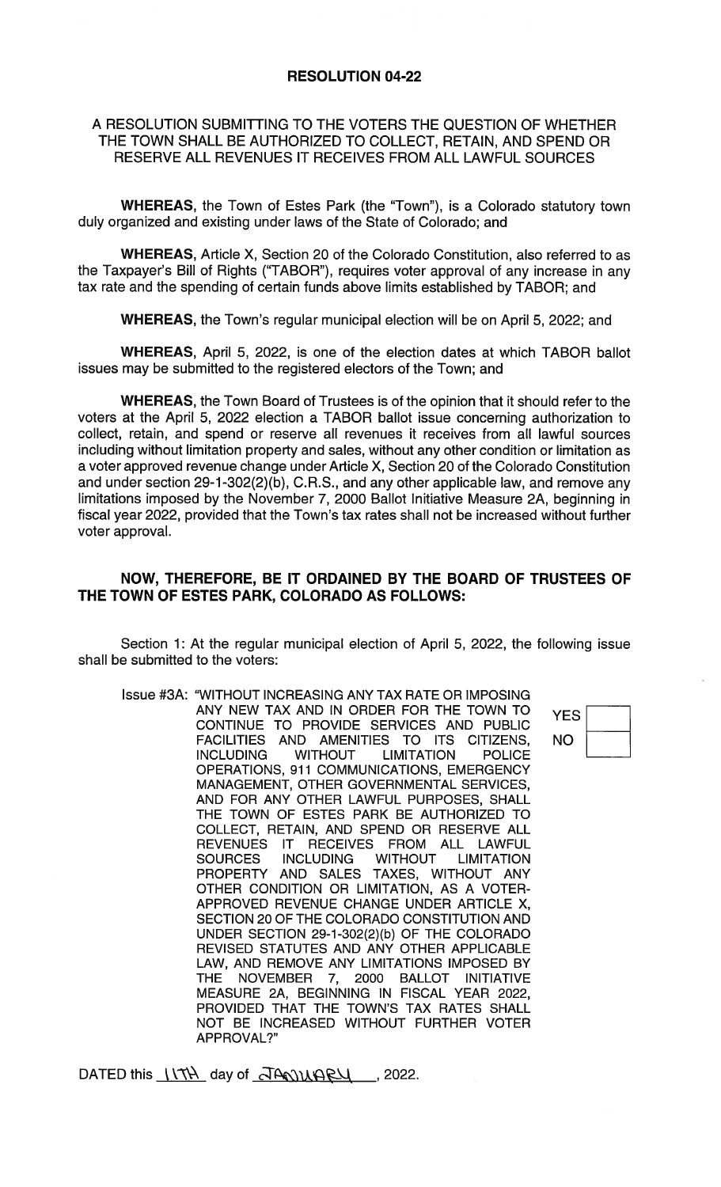## RESOLUTION 04-22

## A RESOLUTION SUBMITTING TO THE VOTERS THE QUESTION OF WHETHER THE TOWN SHALL BE AUTHORIZED TO COLLECT, RETAIN, AND SPEND OR RESERVE ALL REVENUES IT RECEIVES FROM ALL LAWFUL SOURCES

WHEREAS, the Town of Estes Park (the "Town"), is a Colorado statutory town duly organized and existing under laws of the State of Colorado; and

WHEREAS, Article X, Section 20 of the Colorado Constitution, also referred to as the Taxpayer's Bill of Rights ("TABOR"), requires voter approval of any increase in any tax rate and the spending of certain funds above limits established by TABOR; and

WHEREAS, the Town's regular municipal election will be on April 5, 2022; and

WHEREAS, April 5, 2022, is one of the election dates at which TABOR ballot issues may be submitted to the registered electors of the Town; and

WHEREAS, the Town Board of Trustees is of the opinion that it should refer to the voters at the April 5, 2022 election a TABOR ballot issue concerning authorization to collect, retain, and spend or reserve all revenues it receives from all lawful sources including without limitation property and sales, without any other condition or limitation as a voter approved revenue change under Article X, Section 20 of the Colorado Constitution and under section 29-1-302(2)(b), C.R.S., and any other applicable law, and remove any limitations imposed by the November 7, 2000 Ballot Initiative Measure 2A, beginning in fiscal year 2022, provided that the Town's tax rates shall not be increased without further voter approval.

## NOW, THEREFORE, BE IT ORDAINED BY THE BOARD OF TRUSTEES OF THE TOWN OF ESTES PARK, COLORADO AS FOLLOWS:

Section 1: At the regular municipal election of April 5, 2022, the following issue shall be submitted to the voters:

Issue #3A: "WITHOUT INCREASING ANY TAX RATE OR IMPOSING ANY NEW TAX AND IN ORDER FOR THE TOWN TO YES CONTINUE TO PROVIDE SERVICES AND PUBLIC FACILITIES AND AMENITIES TO ITS CITIZENS, NO<br>INCLUDING WITHOUT LIMITATION POLICE **LIMITATION** OPERATIONS, 911 COMMUNICATIONS, EMERGENCY MANAGEMENT, OTHER GOVERNMENTAL SERVICES, AND FOR ANY OTHER LAWFUL PURPOSES, SHALL THE TOWN OF ESTES PARK BE AUTHORIZED TO COLLECT, RETAIN, AND SPEND OR RESERVE ALL REVENUES IT RECEIVES FROM ALL LAWFUL SOURCES INCLUDING WITHOUT LIMITATION PROPERTY AND SALES TAXES, WITHOUT ANY OTHER CONDITION OR LIMITATION, AS A VOTER-APPROVED REVENUE CHANGE UNDER ARTICLE X, SECTION 20 OF THE COLORADO CONSTITUTION AND UNDER SECTION 29-1-302(2)(b) OF THE COLORADO REVISED STATUTES AND ANY OTHER APPLICABLE LAW, AND REMOVE ANY LIMITATIONS IMPOSED BY THE NOVEMBER 7, 2000 BALLOT INITIATIVE MEASURE 2A, BEGINNING IN FISCAL YEAR 2022, PROVIDED THAT THE TOWN'S TAX RATES SHALL NOT BE INCREASED WITHOUT FURTHER VOTER APPROVAL?"

DATED this  $V\rightarrow V$  day of  $J\rightarrow V\rightarrow V$ , 2022.